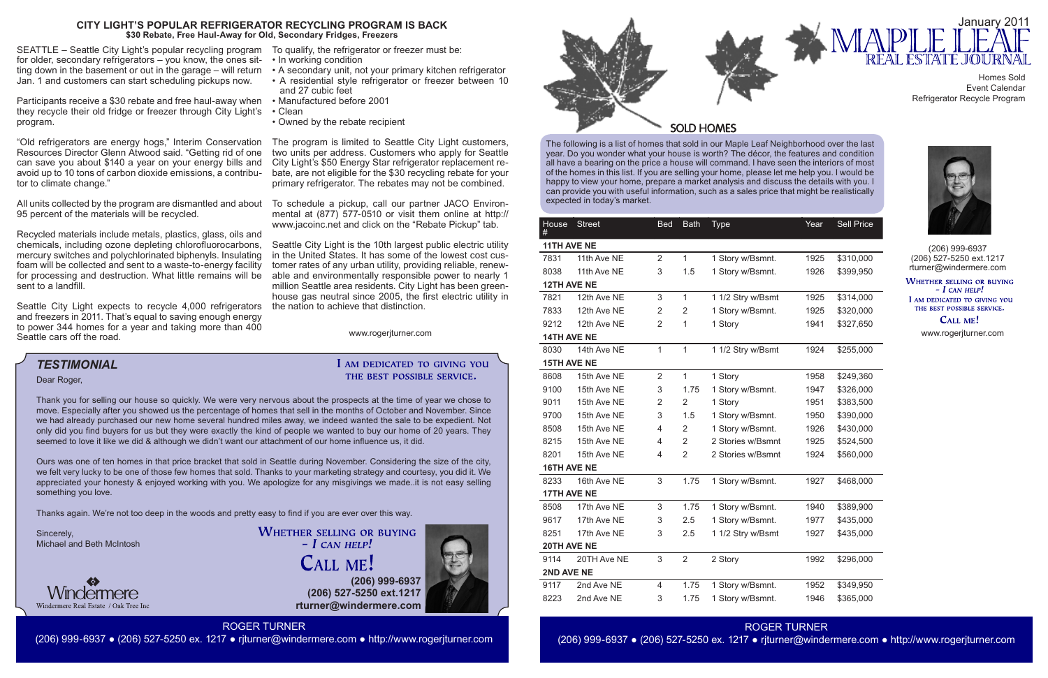The following is a list of homes that sold in our Maple Leaf Neighborhood over the last year. Do you wonder what your house is worth? The décor, the features and condition all have a bearing on the price a house will command. I have seen the interiors of most of the homes in this list. If you are selling your home, please let me help you. I would be happy to view your home, prepare a market analysis and discuss the details with you. I can provide you with useful information, such as a sales price that might be realistically expected in today's market.



**(206) 999-6937 (206) 527-5250 ext.1217 rturner@windermere.com**





**WHETHER SELLING OR BUYING**  $-I$  CAN HELP! I AM DEDICATED TO GIVING YOU

THE BEST POSSIBLE SERVICE. CALL ME!

# *TESTIMONIAL*

ROGER TURNER (206) 999-6937 ● (206) 527-5250 ex. 1217 ● rjturner@windermere.com ● http://www.rogerjturner.com

Homes Sold Event Calendar Refrigerator Recycle Program



Dear Roger,

Thank you for selling our house so quickly. We were very nervous about the prospects at the time of year we chose to move. Especially after you showed us the percentage of homes that sell in the months of October and November. Since we had already purchased our new home several hundred miles away, we indeed wanted the sale to be expedient. Not only did you find buyers for us but they were exactly the kind of people we wanted to buy our home of 20 years. They seemed to love it like we did & although we didn't want our attachment of our home influence us, it did.

Ours was one of ten homes in that price bracket that sold in Seattle during November. Considering the size of the city, we felt very lucky to be one of those few homes that sold. Thanks to your marketing strategy and courtesy, you did it. We appreciated your honesty & enjoyed working with you. We apologize for any misgivings we made..it is not easy selling something you love.

| $\frac{1}{2}$<br>ind click on the "Rebate Pickup" tab.                              | House Street       |             | <b>Bed</b>                                         | <b>Bath</b>    | <b>Type</b>       | Year | Sell Price |                             |
|-------------------------------------------------------------------------------------|--------------------|-------------|----------------------------------------------------|----------------|-------------------|------|------------|-----------------------------|
| is the 10th largest public electric utility                                         | 11TH AVE NE        |             | (206) 999-6937                                     |                |                   |      |            |                             |
| es. It has some of the lowest cost cus-                                             | 7831               | 11th Ave NE | $\overline{2}$                                     | $\mathbf{1}$   | 1 Story w/Bsmnt.  | 1925 | \$310,000  | (206) 527-5250 ext. 1217    |
| urban utility, providing reliable, renew-<br>nentally responsible power to nearly 1 | 8038               | 11th Ave NE | 3                                                  | 1.5            | 1 Story w/Bsmnt.  | 1926 | \$399,950  | rturner@windermere.com      |
| a residents. City Light has been green-                                             | <b>12TH AVE NE</b> |             | <b>WHETHER SELLING OR BUYII</b><br>$- I$ CAN HELP! |                |                   |      |            |                             |
| I since 2005, the first electric utility in                                         | 7821               | 12th Ave NE | 3                                                  | $\mathbf{1}$   | 1 1/2 Stry w/Bsmt | 1925 | \$314,000  | I AM DEDICATED TO GIVING YO |
| eve that distinction.                                                               | 7833               | 12th Ave NE | $\overline{2}$                                     | $\overline{2}$ | 1 Story w/Bsmnt.  | 1925 | \$320,000  | THE BEST POSSIBLE SERVICE.  |
|                                                                                     | 9212               | 12th Ave NE | $\overline{2}$                                     | 1              | 1 Story           | 1941 | \$327,650  | CALL ME!                    |
| www.rogerjturner.com                                                                | 14TH AVE NE        |             | www.rogerjturner.com                               |                |                   |      |            |                             |
|                                                                                     | 8030               | 14th Ave NE | 1.                                                 | $\mathbf{1}$   | 1 1/2 Stry w/Bsmt | 1924 | \$255,000  |                             |
| AM DEDICATED TO GIVING YOU                                                          | <b>15TH AVE NE</b> |             |                                                    |                |                   |      |            |                             |
| THE BEST POSSIBLE SERVICE.                                                          | 8608               | 15th Ave NE | 2                                                  | $\mathbf{1}$   | 1 Story           | 1958 | \$249,360  |                             |
|                                                                                     | 9100               | 15th Ave NE | 3                                                  | 1.75           | 1 Story w/Bsmnt.  | 1947 | \$326,000  |                             |
| pects at the time of year we chose to                                               | 9011               | 15th Ave NE | 2                                                  | $\overline{2}$ | 1 Story           | 1951 | \$383,500  |                             |
| nths of October and November. Since                                                 | 9700               | 15th Ave NE | 3                                                  | 1.5            | 1 Story w/Bsmnt.  | 1950 | \$390,000  |                             |
| wanted the sale to be expedient. Not<br>ed to buy our home of 20 years. They        | 8508               | 15th Ave NE | 4                                                  | $\mathbf{2}$   | 1 Story w/Bsmnt.  | 1926 | \$430,000  |                             |
| e influence us, it did.                                                             | 8215               | 15th Ave NE | 4                                                  | $\overline{2}$ | 2 Stories w/Bsmnt | 1925 | \$524,500  |                             |
|                                                                                     | 8201               | 15th Ave NE | 4                                                  | $\overline{2}$ | 2 Stories w/Bsmnt | 1924 | \$560,000  |                             |
| mber. Considering the size of the city,<br>g strategy and courtesy, you did it. We  | 16TH AVE NE        |             |                                                    |                |                   |      |            |                             |
| givings we madeit is not easy selling                                               | 8233               | 16th Ave NE | 3                                                  | 1.75           | 1 Story w/Bsmnt.  | 1927 | \$468,000  |                             |
|                                                                                     | 17TH AVE NE        |             |                                                    |                |                   |      |            |                             |
|                                                                                     | 8508               | 17th Ave NE | 3                                                  | 1.75           | 1 Story w/Bsmnt.  | 1940 | \$389,900  |                             |
| ver over this way.                                                                  | 9617               | 17th Ave NE | 3                                                  | 2.5            | 1 Story w/Bsmnt.  | 1977 | \$435,000  |                             |
| <b>G OR BUYING</b>                                                                  | 8251               | 17th Ave NE | 3                                                  | 2.5            | 1 1/2 Stry w/Bsmt | 1927 | \$435,000  |                             |
| HELP!                                                                               | 20TH AVE NE        |             |                                                    |                |                   |      |            |                             |
| ME !                                                                                | 9114               | 20TH Ave NE | 3                                                  | 2              | 2 Story           | 1992 | \$296,000  |                             |
|                                                                                     | 2ND AVE NE         |             |                                                    |                |                   |      |            |                             |
| (206) 999-6937                                                                      | 9117               | 2nd Ave NE  | 4                                                  | 1.75           | 1 Story w/Bsmnt.  | 1952 | \$349,950  |                             |
| 7-5250 ext.1217<br>indermere.com                                                    | 8223               | 2nd Ave NE  | 3                                                  | 1.75           | 1 Story w/Bsmnt.  | 1946 | \$365,000  |                             |

Thanks again. We're not too deep in the woods and pretty easy to find if you are ever over this way.

Sincerely, Michael and Beth McIntosh



**WHETHER SELLING OR BUYING**  $-$  *L* CAN HELP! **CALL ME!** 

Seattle City Light expects to recycle 4,000 refrigerators and freezers in 2011. That's equal to saving enough energy to power 344 homes for a year and taking more than 400 Seattle cars off the road.

SEATTLE – Seattle City Light's popular recycling program To qualify, the refrigerator or freezer must be: for older, secondary refrigerators – you know, the ones sitting down in the basement or out in the garage – will return • A secondary unit, not your primary kitchen refrigerator Jan. 1 and customers can start scheduling pickups now.

Participants receive a \$30 rebate and free haul-away when • Manufactured before 2001 they recycle their old fridge or freezer through City Light's • Clean program.

"Old refrigerators are energy hogs," Interim Conservation The program is limited to Seattle City Light customers, Resources Director Glenn Atwood said. "Getting rid of one can save you about \$140 a year on your energy bills and avoid up to 10 tons of carbon dioxide emissions, a contributor to climate change."

All units collected by the program are dismantled and about To schedule a pickup, call our partner JACO Environ-95 percent of the materials will be recycled.

Recycled materials include metals, plastics, glass, oils and chemicals, including ozone depleting chlorofluorocarbons, mercury switches and polychlorinated biphenyls. Insulating foam will be collected and sent to a waste-to-energy facility for processing and destruction. What little remains will be sent to a landfill.

- In working condition
- 
- A residential style refrigerator or freezer between 10 and 27 cubic feet
- 
- 
- Owned by the rebate recipient

two units per address. Customers who apply for Seattle City Light's \$50 Energy Star refrigerator replacement rebate, are not eligible for the \$30 recycling rebate for your primary refrigerator. The rebates may not be combined.

mental at (877) 577-0510 or visit them online at http:// www.jacoinc.net and click on the "Rebate Pickup" tab.

Seattle City Light is the 10th largest public electric utility in the United States. It has some of the lowest cost customer rates of any urban utility, providing reliable, renewable and environmentally responsible power to nearly 1 million Seattle area residents. City Light has been greenhouse gas neutral since 2005, the first electric utility in the nation to achieve that distinction.

## I AM DEDICATED TO GIVING YOU THE BEST POSSIBLE SERVICE.

### **CITY LIGHT'S POPULAR REFRIGERATOR RECYCLING PROGRAM IS BACK \$30 Rebate, Free Haul-Away for Old, Secondary Fridges, Freezers**